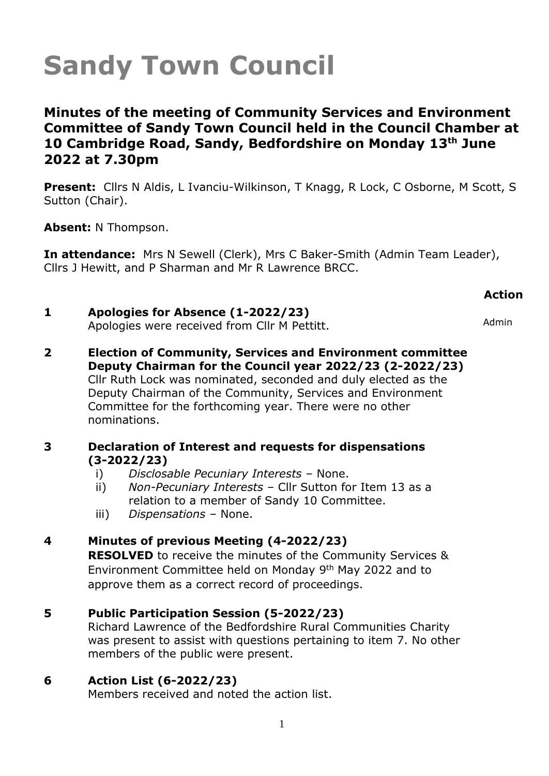**Minutes of the meeting of Community Services and Environment Committee of Sandy Town Council held in the Council Chamber at 10 Cambridge Road, Sandy, Bedfordshire on Monday 13th June 2022 at 7.30pm** 

**Present:** Cllrs N Aldis, L Ivanciu-Wilkinson, T Knagg, R Lock, C Osborne, M Scott, S Sutton (Chair).

**Absent:** N Thompson.

**In attendance:** Mrs N Sewell (Clerk), Mrs C Baker-Smith (Admin Team Leader), Cllrs J Hewitt, and P Sharman and Mr R Lawrence BRCC.

### **Action**

#### **1 Apologies for Absence (1-2022/23)** Apologies were received from Cllr M Pettitt. Admin

**2 Election of Community, Services and Environment committee Deputy Chairman for the Council year 2022/23 (2-2022/23)** Cllr Ruth Lock was nominated, seconded and duly elected as the Deputy Chairman of the Community, Services and Environment Committee for the forthcoming year. There were no other nominations.

#### **3 Declaration of Interest and requests for dispensations (3-2022/23)**

- i) *Disclosable Pecuniary Interests –* None.
- ii) *Non-Pecuniary Interests*  Cllr Sutton for Item 13 as a relation to a member of Sandy 10 Committee.
- iii) *Dispensations –* None.

## **4 Minutes of previous Meeting (4-2022/23)**

**RESOLVED** to receive the minutes of the Community Services & Environment Committee held on Monday 9<sup>th</sup> May 2022 and to approve them as a correct record of proceedings.

## **5 Public Participation Session (5-2022/23)**

Richard Lawrence of the Bedfordshire Rural Communities Charity was present to assist with questions pertaining to item 7. No other members of the public were present.

## **6 Action List (6-2022/23)**

Members received and noted the action list.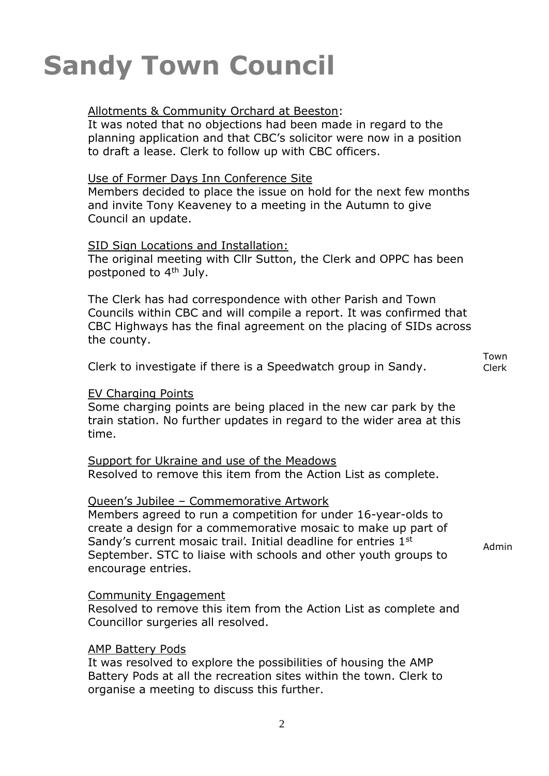#### Allotments & Community Orchard at Beeston:

It was noted that no objections had been made in regard to the planning application and that CBC's solicitor were now in a position to draft a lease. Clerk to follow up with CBC officers.

### Use of Former Days Inn Conference Site

Members decided to place the issue on hold for the next few months and invite Tony Keaveney to a meeting in the Autumn to give Council an update.

#### SID Sign Locations and Installation:

The original meeting with Cllr Sutton, the Clerk and OPPC has been postponed to 4<sup>th</sup> July.

The Clerk has had correspondence with other Parish and Town Councils within CBC and will compile a report. It was confirmed that CBC Highways has the final agreement on the placing of SIDs across the county.

Clerk to investigate if there is a Speedwatch group in Sandy.

Town Clerk

### EV Charging Points

Some charging points are being placed in the new car park by the train station. No further updates in regard to the wider area at this time.

### Support for Ukraine and use of the Meadows Resolved to remove this item from the Action List as complete.

#### Queen's Jubilee – Commemorative Artwork

Members agreed to run a competition for under 16-year-olds to create a design for a commemorative mosaic to make up part of Sandy's current mosaic trail. Initial deadline for entries 1<sup>st</sup> September. STC to liaise with schools and other youth groups to encourage entries.

Admin

### Community Engagement

Resolved to remove this item from the Action List as complete and Councillor surgeries all resolved.

#### AMP Battery Pods

It was resolved to explore the possibilities of housing the AMP Battery Pods at all the recreation sites within the town. Clerk to organise a meeting to discuss this further.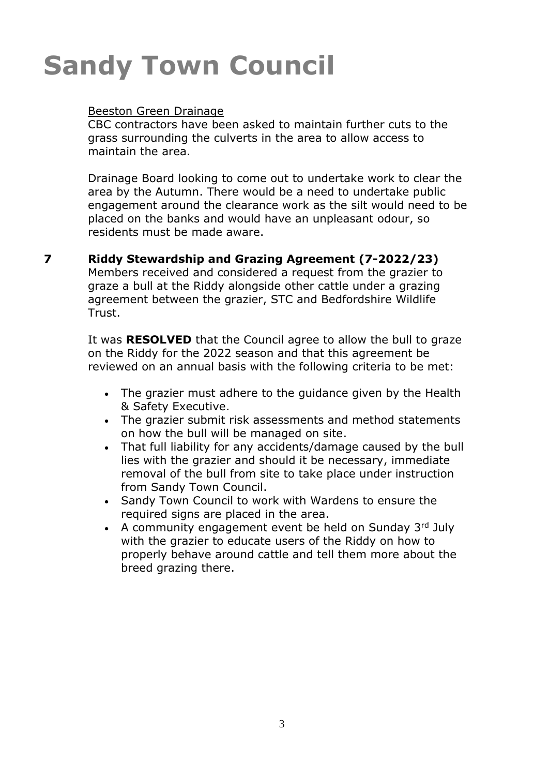## Beeston Green Drainage

CBC contractors have been asked to maintain further cuts to the grass surrounding the culverts in the area to allow access to maintain the area.

Drainage Board looking to come out to undertake work to clear the area by the Autumn. There would be a need to undertake public engagement around the clearance work as the silt would need to be placed on the banks and would have an unpleasant odour, so residents must be made aware.

#### **7 Riddy Stewardship and Grazing Agreement (7-2022/23)**

Members received and considered a request from the grazier to graze a bull at the Riddy alongside other cattle under a grazing agreement between the grazier, STC and Bedfordshire Wildlife Trust.

It was **RESOLVED** that the Council agree to allow the bull to graze on the Riddy for the 2022 season and that this agreement be reviewed on an annual basis with the following criteria to be met:

- The grazier must adhere to the guidance given by the Health & Safety Executive.
- The grazier submit risk assessments and method statements on how the bull will be managed on site.
- That full liability for any accidents/damage caused by the bull lies with the grazier and should it be necessary, immediate removal of the bull from site to take place under instruction from Sandy Town Council.
- Sandy Town Council to work with Wardens to ensure the required signs are placed in the area.
- A community engagement event be held on Sunday  $3<sup>rd</sup>$  July with the grazier to educate users of the Riddy on how to properly behave around cattle and tell them more about the breed grazing there.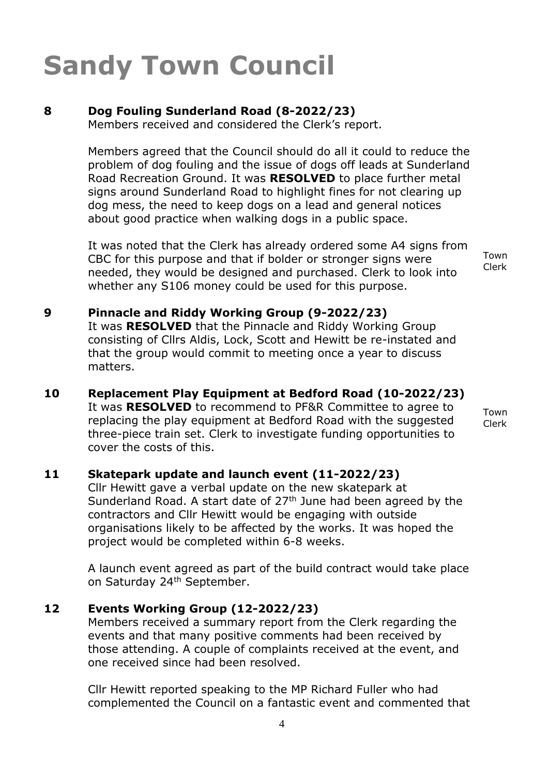#### **8 Dog Fouling Sunderland Road (8-2022/23)**

Members received and considered the Clerk's report.

Members agreed that the Council should do all it could to reduce the problem of dog fouling and the issue of dogs off leads at Sunderland Road Recreation Ground. It was **RESOLVED** to place further metal signs around Sunderland Road to highlight fines for not clearing up dog mess, the need to keep dogs on a lead and general notices about good practice when walking dogs in a public space.

It was noted that the Clerk has already ordered some A4 signs from CBC for this purpose and that if bolder or stronger signs were needed, they would be designed and purchased. Clerk to look into whether any S106 money could be used for this purpose.

Town Clerk

#### **9 Pinnacle and Riddy Working Group (9-2022/23)** It was **RESOLVED** that the Pinnacle and Riddy Working Group consisting of Cllrs Aldis, Lock, Scott and Hewitt be re-instated and that the group would commit to meeting once a year to discuss matters.

**10 Replacement Play Equipment at Bedford Road (10-2022/23)** It was **RESOLVED** to recommend to PF&R Committee to agree to replacing the play equipment at Bedford Road with the suggested three-piece train set. Clerk to investigate funding opportunities to cover the costs of this.

Town Clerk

#### **11 Skatepark update and launch event (11-2022/23)**

Cllr Hewitt gave a verbal update on the new skatepark at Sunderland Road. A start date of  $27<sup>th</sup>$  June had been agreed by the contractors and Cllr Hewitt would be engaging with outside organisations likely to be affected by the works. It was hoped the project would be completed within 6-8 weeks.

A launch event agreed as part of the build contract would take place on Saturday 24<sup>th</sup> September.

#### **12 Events Working Group (12-2022/23)**

Members received a summary report from the Clerk regarding the events and that many positive comments had been received by those attending. A couple of complaints received at the event, and one received since had been resolved.

Cllr Hewitt reported speaking to the MP Richard Fuller who had complemented the Council on a fantastic event and commented that